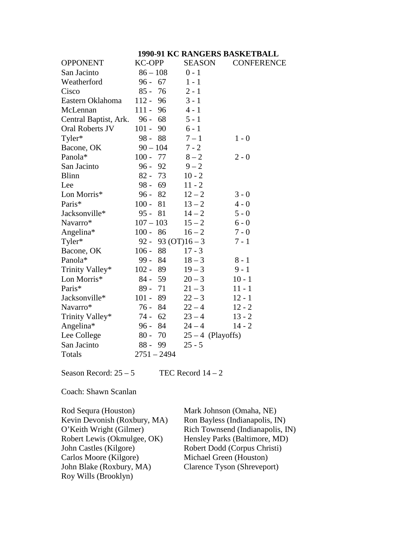|                       | 1990-91 KC RANGERS BASKETBALL |                     |                   |  |
|-----------------------|-------------------------------|---------------------|-------------------|--|
| <b>OPPONENT</b>       | <b>KC-OPP</b>                 | <b>SEASON</b>       | <b>CONFERENCE</b> |  |
| San Jacinto           | $86 - 108$                    | $0 - 1$             |                   |  |
| Weatherford           | $96 - 67$                     | $1 - 1$             |                   |  |
| Cisco                 | $85 -$<br>76                  | $2 - 1$             |                   |  |
| Eastern Oklahoma      | $112 -$<br>96                 | $3 - 1$             |                   |  |
| McLennan              | $111 -$<br>96                 | $4 - 1$             |                   |  |
| Central Baptist, Ark. | $96 -$<br>68                  | $5 - 1$             |                   |  |
| Oral Roberts JV       | $101 -$<br>90                 | $6 - 1$             |                   |  |
| Tyler*                | 98 - 88                       | $7 - 1$             | $1 - 0$           |  |
| Bacone, OK            | $90 - 104$                    | $7 - 2$             |                   |  |
| Panola*               | $100 -$<br>77                 | $8-2$               | $2 - 0$           |  |
| San Jacinto           | 92<br>$96 -$                  | $9 - 2$             |                   |  |
| <b>Blinn</b>          | $82 - 73$                     | $10 - 2$            |                   |  |
| Lee                   | $98 - 69$                     | $11 - 2$            |                   |  |
| Lon Morris*           | $96 -$<br>82                  | $12 - 2$            | $3 - 0$           |  |
| Paris*                | $100 -$<br>81                 | $13 - 2$            | $4 - 0$           |  |
| Jacksonville*         | $95 - 81$                     | $14 - 2$            | $5 - 0$           |  |
| Navarro*              | $107 - 103$                   | $15 - 2$            | $6 - 0$           |  |
| Angelina*             | $100 -$<br>86                 | $16 - 2$            | $7 - 0$           |  |
| Tyler*                | $92 -$                        | 93 (OT) $16-3$      | $7 - 1$           |  |
| Bacone, OK            | 88<br>$106 -$                 | $17 - 3$            |                   |  |
| Panola*               | $99 -$<br>84                  | $18 - 3$            | $8 - 1$           |  |
| Trinity Valley*       | $102 -$<br>89                 | $19 - 3$            | $9 - 1$           |  |
| Lon Morris*           | 59<br>84 -                    | $20 - 3$            | $10 - 1$          |  |
| Paris*                | $89 -$<br>71                  | $21 - 3$            | $11 - 1$          |  |
| Jacksonville*         | $101 -$<br>89                 | $22 - 3$            | $12 - 1$          |  |
| Navarro*              | 76 -<br>84                    | $22 - 4$            | $12 - 2$          |  |
| Trinity Valley*       | 62<br>74 -                    | $23 - 4$            | $13 - 2$          |  |
| Angelina*             | $96 - 84$                     | $24 - 4$            | $14 - 2$          |  |
| Lee College           | $80 -$<br>70                  | $25 - 4$ (Playoffs) |                   |  |
| San Jacinto           | $88-$<br>99                   | $25 - 5$            |                   |  |
| Totals                | $2751 - 2494$                 |                     |                   |  |

Season Record:  $25 - 5$  TEC Record  $14 - 2$ 

Coach: Shawn Scanlan

| Rod Sequra (Houston)         | Mark Johnson (Omaha, NE)         |
|------------------------------|----------------------------------|
| Kevin Devonish (Roxbury, MA) | Ron Bayless (Indianapolis, IN)   |
| O'Keith Wright (Gilmer)      | Rich Townsend (Indianapolis, IN) |
| Robert Lewis (Okmulgee, OK)  | Hensley Parks (Baltimore, MD)    |
| John Castles (Kilgore)       | Robert Dodd (Corpus Christi)     |
| Carlos Moore (Kilgore)       | Michael Green (Houston)          |
| John Blake (Roxbury, MA)     | Clarence Tyson (Shreveport)      |
| Roy Wills (Brooklyn)         |                                  |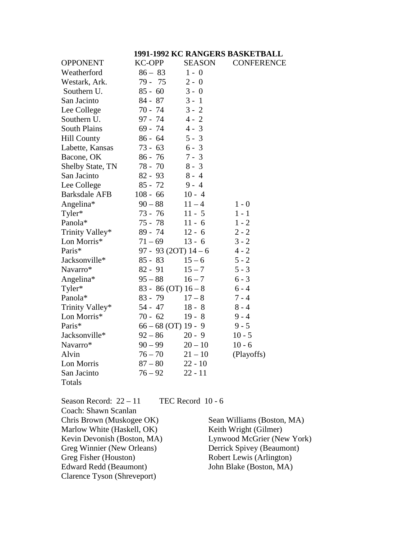#### **1991-1992 KC RANGERS BASKETBALL**

| <b>OPPONENT</b>         | <b>KC-OPP</b>           | <b>SEASON</b> | <b>CONFERENCE</b> |
|-------------------------|-------------------------|---------------|-------------------|
| Weatherford             | $86 - 83$               | $1 - 0$       |                   |
| Westark, Ark.           | 79 - 75                 | $2 - 0$       |                   |
| Southern U.             | $85 - 60$               | $3 - 0$       |                   |
| San Jacinto             | $84 - 87$               | $3 - 1$       |                   |
| Lee College             | $70 - 74$               | $3 - 2$       |                   |
| Southern U.             | 97 - 74                 | $4 - 2$       |                   |
| <b>South Plains</b>     | $69 - 74$               | $4 - 3$       |                   |
| <b>Hill County</b>      | $86 - 64$               | $5 - 3$       |                   |
| Labette, Kansas         | $73 - 63$               | $6 - 3$       |                   |
| Bacone, OK              | $86 - 76$               | $7 - 3$       |                   |
| <b>Shelby State, TN</b> | 78 - 70                 | $8 - 3$       |                   |
| San Jacinto             | $82 - 93$               | $8 - 4$       |                   |
| Lee College             | $85 - 72$               | $9 - 4$       |                   |
| <b>Barksdale AFB</b>    | $108 - 66$              | $10 - 4$      |                   |
| Angelina*               | $90 - 88$               | $11 - 4$      | $1 - 0$           |
| Tyler*                  | 73 - 76                 | $11 - 5$      | $1 - 1$           |
| Panola*                 | $75 - 78$               | $11 - 6$      | $1 - 2$           |
| Trinity Valley*         | $89 - 74$               | $12 - 6$      | $2 - 2$           |
| Lon Morris*             | $71 - 69$               | $13 - 6$      | $3 - 2$           |
| Paris*                  | 97 - 93 (20T) $14-6$    |               | $4 - 2$           |
| Jacksonville*           | $85 - 83$               | $15 - 6$      | $5 - 2$           |
| Navarro*                | $82 - 91$               | $15 - 7$      | $5 - 3$           |
| Angelina*               | $95 - 88$               | $16 - 7$      | $6 - 3$           |
| Tyler*                  | $83 - 86$ (OT) $16 - 8$ |               | $6 - 4$           |
| Panola*                 | $83 - 79$               | $17 - 8$      | $7 - 4$           |
| Trinity Valley*         | 54 - 47                 | $18 - 8$      | $8 - 4$           |
| Lon Morris*             | $70 - 62$               | $19 - 8$      | $9 - 4$           |
| Paris*                  | $66 - 68$ (OT) 19 - 9   |               | $9 - 5$           |
| Jacksonville*           | $92 - 86$               | $20 - 9$      | $10 - 5$          |
| Navarro*                | $90 - 99$               | $20 - 10$     | $10 - 6$          |
| Alvin                   | $76 - 70$               | $21 - 10$     | (Playoffs)        |
| Lon Morris              | $87 - 80$               | $22 - 10$     |                   |
| San Jacinto             | $76 - 92$               | $22 - 11$     |                   |
| Totals                  |                         |               |                   |
|                         |                         |               |                   |

Season Record:  $22 - 11$  TEC Record 10 - 6 Coach: Shawn Scanlan Chris Brown (Muskogee OK) Sean Williams (Boston, MA)<br>Marlow White (Haskell, OK) Keith Wright (Gilmer) Marlow White (Haskell, OK)<br>Kevin Devonish (Boston, MA) Greg Winnier (New Orleans)<br>Greg Fisher (Houston) Edward Redd (Beaumont) Clarence Tyson (Shreveport)

Lynwood McGrier (New York)<br>Derrick Spivey (Beaumont) Robert Lewis (Arlington)<br>John Blake (Boston, MA)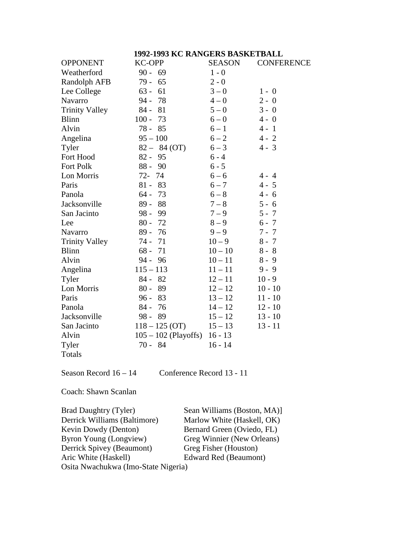# **1992-1993 KC RANGERS BASKETBALL**

| <b>OPPONENT</b>       | <b>KC-OPP</b>          | <b>SEASON</b> | <b>CONFERENCE</b> |
|-----------------------|------------------------|---------------|-------------------|
| Weatherford           | $90 - 69$              | $1 - 0$       |                   |
| <b>Randolph AFB</b>   | 79 -<br>65             | $2 - 0$       |                   |
| Lee College           | $63 -$<br>61           | $3 - 0$       | $1 - 0$           |
| Navarro               | $94 -$<br>78           | $4 - 0$       | $2 - 0$           |
| <b>Trinity Valley</b> | $84 -$<br>81           | $5 - 0$       | $3 - 0$           |
| <b>Blinn</b>          | $100 -$<br>73          | $6 - 0$       | $4 - 0$           |
| Alvin                 | 78 - 85                | $6 - 1$       | $4 - 1$           |
| Angelina              | $95 - 100$             | $6 - 2$       | $4 - 2$           |
| Tyler                 | $82 - 84$ (OT)         | $6 - 3$       | $4 - 3$           |
| Fort Hood             | $82 -$<br>95           | $6 - 4$       |                   |
| Fort Polk             | 90<br>$88 -$           | $6 - 5$       |                   |
| Lon Morris            | $72-$<br>74            | $6 - 6$       | $4 - 4$           |
| Paris                 | $81 -$<br>83           | $6 - 7$       | $4 - 5$           |
| Panola                | 73<br>$64-$            | $6 - 8$       | $4 - 6$           |
| Jacksonville          | $89 -$<br>88           | $7 - 8$       | $5 - 6$           |
| San Jacinto           | $98 -$<br>99           | $7 - 9$       | $5 - 7$           |
| Lee                   | $80 -$<br>72           | $8-9$         | $6 - 7$           |
| Navarro               | 76<br>$89 -$           | $9 - 9$       | $7 - 7$           |
| <b>Trinity Valley</b> | $74 -$<br>71           | $10 - 9$      | $8 - 7$           |
| <b>Blinn</b>          | $68 -$<br>71           | $10 - 10$     | $8 - 8$           |
| Alvin                 | 94 -<br>96             | $10 - 11$     | $8 - 9$           |
| Angelina              | $115 - 113$            | $11 - 11$     | $9 - 9$           |
| Tyler                 | $84 - 82$              | $12 - 11$     | $10 - 9$          |
| Lon Morris            | $80 -$<br>89           | $12 - 12$     | $10 - 10$         |
| Paris                 | $96 -$<br>83           | $13 - 12$     | $11 - 10$         |
| Panola                | $84 -$<br>76           | $14 - 12$     | $12 - 10$         |
| Jacksonville          | $98 -$<br>89           | $15 - 12$     | $13 - 10$         |
| San Jacinto           | $118 - 125$ (OT)       | $15 - 13$     | $13 - 11$         |
| Alvin                 | $105 - 102$ (Playoffs) | $16 - 13$     |                   |
| Tyler                 | $70 - 84$              | $16 - 14$     |                   |
| Totals                |                        |               |                   |

Season Record 16 – 14 Conference Record 13 - 11

Coach: Shawn Scanlan

| <b>Brad Daughtry (Tyler)</b>        | Sean Williams (Boston, MA)] |
|-------------------------------------|-----------------------------|
| Derrick Williams (Baltimore)        | Marlow White (Haskell, OK)  |
| Kevin Dowdy (Denton)                | Bernard Green (Oviedo, FL)  |
| Byron Young (Longview)              | Greg Winnier (New Orleans)  |
| Derrick Spivey (Beaumont)           | Greg Fisher (Houston)       |
| Aric White (Haskell)                | Edward Red (Beaumont)       |
| Osita Nwachukwa (Imo-State Nigeria) |                             |
|                                     |                             |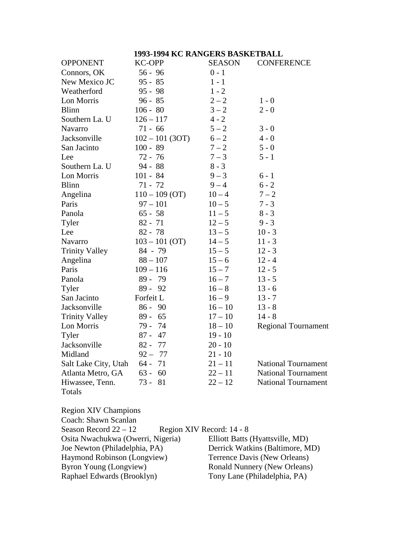### **1993-1994 KC RANGERS BASKETBALL**

| <b>OPPONENT</b>       | <b>KC-OPP</b>     | C REPORTED BILDIM<br><b>SEASON</b> | <b>CONFERENCE</b>          |
|-----------------------|-------------------|------------------------------------|----------------------------|
| Connors, OK           | $56 - 96$         | $0 - 1$                            |                            |
| New Mexico JC         | $95 - 85$         | $1 - 1$                            |                            |
| Weatherford           | $95 - 98$         | $1 - 2$                            |                            |
| Lon Morris            | $96 - 85$         | $2 - 2$                            | $1 - 0$                    |
| <b>Blinn</b>          | $106 - 80$        | $3 - 2$                            | $2 - 0$                    |
| Southern La. U        | $126 - 117$       | $4 - 2$                            |                            |
| Navarro               | $71 - 66$         | $5 - 2$                            | $3 - 0$                    |
| Jacksonville          | $102 - 101 (3OT)$ | $6 - 2$                            | $4 - 0$                    |
| San Jacinto           | $100 - 89$        | $7 - 2$                            | $5 - 0$                    |
| Lee                   | $72 - 76$         | $7 - 3$                            | $5 - 1$                    |
| Southern La. U        | $94 - 88$         | $8 - 3$                            |                            |
| Lon Morris            | $101 - 84$        | $9 - 3$                            | $6 - 1$                    |
| <b>Blinn</b>          | $71 - 72$         | $9 - 4$                            | $6 - 2$                    |
| Angelina              | $110 - 109$ (OT)  | $10 - 4$                           | $7 - 2$                    |
| Paris                 | $97 - 101$        | $10 - 5$                           | $7 - 3$                    |
| Panola                | $65 - 58$         | $11 - 5$                           | $8 - 3$                    |
| Tyler                 | $82 - 71$         | $12 - 5$                           | $9 - 3$                    |
| Lee                   | $82 - 78$         | $13 - 5$                           | $10 - 3$                   |
| Navarro               | $103 - 101$ (OT)  | $14 - 5$                           | $11 - 3$                   |
| <b>Trinity Valley</b> | $84 - 79$         | $15 - 5$                           | $12 - 3$                   |
| Angelina              | $88 - 107$        | $15 - 6$                           | $12 - 4$                   |
| Paris                 | $109 - 116$       | $15 - 7$                           | $12 - 5$                   |
| Panola                | $89 -$<br>79      | $16 - 7$                           | $13 - 5$                   |
| Tyler                 | $89 - 92$         | $16 - 8$                           | $13 - 6$                   |
| San Jacinto           | Forfeit L         | $16 - 9$                           | $13 - 7$                   |
| Jacksonville          | $86 - 90$         | $16 - 10$                          | $13 - 8$                   |
| <b>Trinity Valley</b> | 65<br>$89 -$      | $17 - 10$                          | $14 - 8$                   |
| Lon Morris            | 79 -<br>74        | $18 - 10$                          | <b>Regional Tournament</b> |
| Tyler                 | $87 -$<br>47      | $19 - 10$                          |                            |
| Jacksonville          | $82 - 77$         | $20 - 10$                          |                            |
| Midland               | $92 - 77$         | $21 - 10$                          |                            |
| Salt Lake City, Utah  | 71<br>$64 -$      | $21 - 11$                          | <b>National Tournament</b> |
| Atlanta Metro, GA     | $63 -$<br>60      | $22 - 11$                          | <b>National Tournament</b> |
| Hiwassee, Tenn.       | 81<br>$73 -$      | $22 - 12$                          | <b>National Tournament</b> |
| Totals                |                   |                                    |                            |

Region XIV Champions Coach: Shawn Scanlan Season Record 22 – 12 Region XIV Record: 14 - 8<br>Osita Nwachukwa (Owerri, Nigeria) Elliott Batts (Hyattsville, MD) Osita Nwachukwa (Owerri, Nigeria)<br>Joe Newton (Philadelphia, PA) Derrick Watkins (Baltimore, MD) Haymond Robinson (Longview) Terrence Davis (New Orleans)<br>Byron Young (Longview) Ronald Nunnery (New Orleans) Byron Young (Longview) Ronald Nunnery (New Orleans)<br>
Raphael Edwards (Brooklyn) Tony Lane (Philadelphia, PA) Tony Lane (Philadelphia, PA)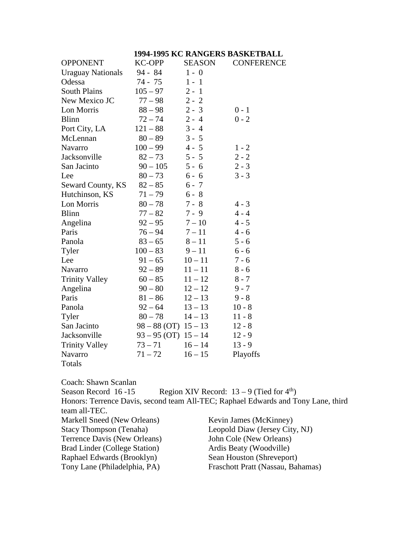### **1994-1995 KC RANGERS BASKETBALL**

| <b>OPPONENT</b>          | <b>KC-OPP</b>            | <b>SEASON</b> | <b>CONFERENCE</b> |
|--------------------------|--------------------------|---------------|-------------------|
| <b>Uraguay Nationals</b> | $94 - 84$                | $1 - 0$       |                   |
| Odessa                   | 74 - 75                  | $1 - 1$       |                   |
| <b>South Plains</b>      | $105 - 97$               | $2 - 1$       |                   |
| New Mexico JC            | $77 - 98$                | $2 - 2$       |                   |
| Lon Morris               | $88 - 98$                | $2 - 3$       | $0 - 1$           |
| <b>Blinn</b>             | $72 - 74$                | $2 - 4$       | $0 - 2$           |
| Port City, LA            | $121 - 88$               | $3 - 4$       |                   |
| McLennan                 | $80 - 89$                | $3 - 5$       |                   |
| Navarro                  | $100 - 99$               | $4 - 5$       | $1 - 2$           |
| Jacksonville             | $82 - 73$                | $5 - 5$       | $2 - 2$           |
| San Jacinto              | $90 - 105$               | $5 - 6$       | $2 - 3$           |
| Lee                      | $80 - 73$                | $6 - 6$       | $3 - 3$           |
| Seward County, KS        | $82 - 85$                | $6 - 7$       |                   |
| Hutchinson, KS           | $71 - 79$                | $6 - 8$       |                   |
| Lon Morris               | $80 - 78$                | $7 - 8$       | $4 - 3$           |
| <b>Blinn</b>             | $77 - 82$                | $7 - 9$       | $4 - 4$           |
| Angelina                 | $92 - 95$                | $7 - 10$      | $4 - 5$           |
| Paris                    | $76 - 94$                | $7 - 11$      | $4 - 6$           |
| Panola                   | $83 - 65$                | $8 - 11$      | $5 - 6$           |
| Tyler                    | $100 - 83$               | $9 - 11$      | $6 - 6$           |
| Lee                      | $91 - 65$                | $10 - 11$     | $7 - 6$           |
| Navarro                  | $92 - 89$                | $11 - 11$     | $8 - 6$           |
| <b>Trinity Valley</b>    | $60 - 85$                | $11 - 12$     | $8 - 7$           |
| Angelina                 | $90 - 80$                | $12 - 12$     | $9 - 7$           |
| Paris                    | $81 - 86$                | $12 - 13$     | $9 - 8$           |
| Panola                   | $92 - 64$                | $13 - 13$     | $10 - 8$          |
| Tyler                    | $80 - 78$                | $14 - 13$     | $11 - 8$          |
| San Jacinto              | $98 - 88$ (OT) $15 - 13$ |               | $12 - 8$          |
| Jacksonville             | $93 - 95$ (OT) $15 - 14$ |               | $12 - 9$          |
| <b>Trinity Valley</b>    | $73 - 71$                | $16 - 14$     | $13 - 9$          |
| Navarro                  | $71 - 72$                | $16 - 15$     | Playoffs          |
| Totals                   |                          |               |                   |

Coach: Shawn Scanlan Season Record 16 -15 Region XIV Record:  $13 - 9$  (Tied for  $4<sup>th</sup>$ ) Honors: Terrence Davis, second team All-TEC; Raphael Edwards and Tony Lane, third team all-TEC. Markell Sneed (New Orleans) Kevin James (McKinney)<br>Stacy Thompson (Tenaha) Leopold Diaw (Jersey City Leopold Diaw (Jersey City, NJ)<br>John Cole (New Orleans) Terrence Davis (New Orleans) Brad Linder (College Station) Ardis Beaty (Woodville) Raphael Edwards (Brooklyn)<br>
Tony Lane (Philadelphia, PA)<br>
Fraschott Pratt (Nassau, Bal Fraschott Pratt (Nassau, Bahamas)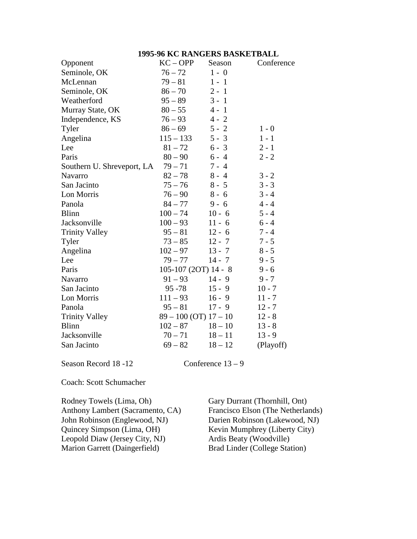### **1995-96 KC RANGERS BASKETBALL**

| Opponent                   | $KC - OPP$                | Season    | Conference |
|----------------------------|---------------------------|-----------|------------|
| Seminole, OK               | $76 - 72$                 | $1 - 0$   |            |
| McLennan                   | $79 - 81$                 | $1 - 1$   |            |
| Seminole, OK               | $86 - 70$                 | $2 - 1$   |            |
| Weatherford                | $95 - 89$                 | $3 - 1$   |            |
| Murray State, OK           | $80 - 55$                 | $4 - 1$   |            |
| Independence, KS           | $76 - 93$                 | $4 - 2$   |            |
| Tyler                      | $86 - 69$                 | $5 - 2$   | $1 - 0$    |
| Angelina                   | $115 - 133$               | $5 - 3$   | $1 - 1$    |
| Lee                        | $81 - 72$                 | $6 - 3$   | $2 - 1$    |
| Paris                      | $80 - 90$                 | $6 - 4$   | $2 - 2$    |
| Southern U. Shreveport, LA | $79 - 71$                 | $7 - 4$   |            |
| <b>Navarro</b>             | $82 - 78$                 | $8 - 4$   | $3 - 2$    |
| San Jacinto                | $75 - 76$                 | $8 - 5$   | $3 - 3$    |
| Lon Morris                 | $76 - 90$                 | $8 - 6$   | $3 - 4$    |
| Panola                     | $84 - 77$                 | $9 - 6$   | $4 - 4$    |
| <b>Blinn</b>               | $100 - 74$                | $10 - 6$  | $5 - 4$    |
| Jacksonville               | $100 - 93$                | $11 - 6$  | $6 - 4$    |
| <b>Trinity Valley</b>      | $95 - 81$                 | $12 - 6$  | $7 - 4$    |
| Tyler                      | $73 - 85$                 | $12 - 7$  | $7 - 5$    |
| Angelina                   | $102 - 97$                | $13 - 7$  | $8 - 5$    |
| Lee                        | $79 - 77$                 | $14 - 7$  | $9 - 5$    |
| Paris                      | $105-107(2OT)$ 14 - 8     |           | $9 - 6$    |
| Navarro                    | $91 - 93$                 | $14 - 9$  | $9 - 7$    |
| San Jacinto                | $95 - 78$                 | $15 - 9$  | $10 - 7$   |
| Lon Morris                 | $111 - 93$                | $16 - 9$  | $11 - 7$   |
| Panola                     | $95 - 81$                 | $17 - 9$  | $12 - 7$   |
| <b>Trinity Valley</b>      | $89 - 100$ (OT) $17 - 10$ |           | $12 - 8$   |
| <b>Blinn</b>               | $102 - 87$                | $18 - 10$ | $13 - 8$   |
| Jacksonville               | $70 - 71$                 | $18 - 11$ | $13 - 9$   |
| San Jacinto                | $69 - 82$                 | $18 - 12$ | (Playoff)  |

Season Record 18 -12 Conference 13 – 9

Coach: Scott Schumacher

Rodney Towels (Lima, Oh) Gary Durrant (Thornhill, Ont)<br>Anthony Lambert (Sacramento, CA) Francisco Elson (The Netherla John Robinson (Englewood, NJ)<br>Quincey Simpson (Lima, OH) Leopold Diaw (Jersey City, NJ) <br>
Marion Garrett (Daingerfield) Brad Linder (College Station) Marion Garrett (Daingerfield)

Francisco Elson (The Netherlands)<br>Darien Robinson (Lakewood, NJ) Kevin Mumphrey (Liberty City)<br>Ardis Beaty (Woodville)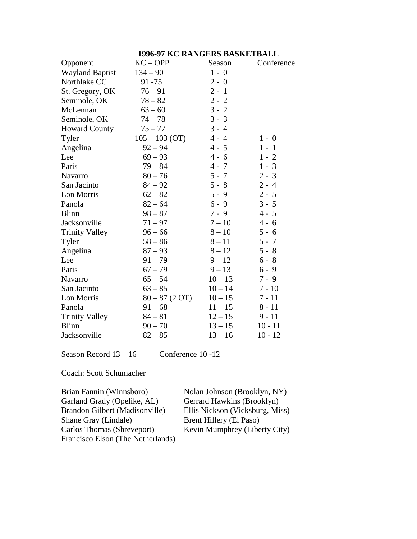## **1996-97 KC RANGERS BASKETBALL**

| Opponent               | $KC - OPP$       | Season    | Conference |
|------------------------|------------------|-----------|------------|
| <b>Wayland Baptist</b> | $134 - 90$       | $1 - 0$   |            |
| Northlake CC           | $91 - 75$        | $2 - 0$   |            |
| St. Gregory, OK        | $76 - 91$        | $2 - 1$   |            |
| Seminole, OK           | $78 - 82$        | $2 - 2$   |            |
| McLennan               | $63 - 60$        | $3 - 2$   |            |
| Seminole, OK           | $74 - 78$        | $3 - 3$   |            |
| <b>Howard County</b>   | $75 - 77$        | $3 - 4$   |            |
| Tyler                  | $105 - 103$ (OT) | $4 - 4$   | $1 - 0$    |
| Angelina               | $92 - 94$        | $4 - 5$   | $1 - 1$    |
| Lee                    | $69 - 93$        | $4 - 6$   | $1 - 2$    |
| Paris                  | $79 - 84$        | $4 - 7$   | $1 - 3$    |
| Navarro                | $80 - 76$        | $5 - 7$   | $2 - 3$    |
| San Jacinto            | $84 - 92$        | $5 - 8$   | $2 - 4$    |
| Lon Morris             | $62 - 82$        | $5 - 9$   | $2 - 5$    |
| Panola                 | $82 - 64$        | $6 - 9$   | $3 - 5$    |
| <b>Blinn</b>           | $98 - 87$        | $7 - 9$   | $4 - 5$    |
| Jacksonville           | $71 - 97$        | $7 - 10$  | $4 - 6$    |
| <b>Trinity Valley</b>  | $96 - 66$        | $8 - 10$  | $5 - 6$    |
| Tyler                  | $58 - 86$        | $8 - 11$  | $5 - 7$    |
| Angelina               | $87 - 93$        | $8 - 12$  | $5 - 8$    |
| Lee                    | $91 - 79$        | $9 - 12$  | $6 - 8$    |
| Paris                  | $67 - 79$        | $9 - 13$  | $6 - 9$    |
| Navarro                | $65 - 54$        | $10 - 13$ | $7 - 9$    |
| San Jacinto            | $63 - 85$        | $10 - 14$ | $7 - 10$   |
| Lon Morris             | $80 - 87$ (2 OT) | $10 - 15$ | $7 - 11$   |
| Panola                 | $91 - 68$        | $11 - 15$ | $8 - 11$   |
| <b>Trinity Valley</b>  | $84 - 81$        | $12 - 15$ | $9 - 11$   |
| <b>Blinn</b>           | $90 - 70$        | $13 - 15$ | $10 - 11$  |
| Jacksonville           | $82 - 85$        | $13 - 16$ | $10 - 12$  |

Season Record  $13 - 16$  Conference 10 -12

Coach: Scott Schumacher

| Nolan Johnson (Brooklyn, NY)    |
|---------------------------------|
| Gerrard Hawkins (Brooklyn)      |
| Ellis Nickson (Vicksburg, Miss) |
| Brent Hillery (El Paso)         |
| Kevin Mumphrey (Liberty City)   |
|                                 |
|                                 |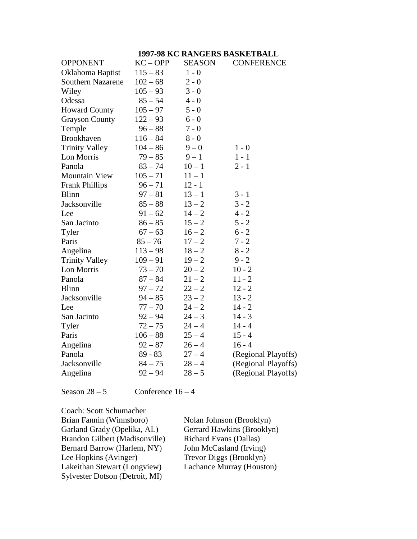#### **1997-98 KC RANGERS BASKETBALL**

| <b>OPPONENT</b>       | $KC - OPP$ | <b>SEASON</b> | <b>CONFERENCE</b>   |
|-----------------------|------------|---------------|---------------------|
| Oklahoma Baptist      | $115 - 83$ | $1 - 0$       |                     |
| Southern Nazarene     | $102 - 68$ | $2 - 0$       |                     |
| Wiley                 | $105 - 93$ | $3 - 0$       |                     |
| Odessa                | $85 - 54$  | $4 - 0$       |                     |
| <b>Howard County</b>  | $105 - 97$ | $5 - 0$       |                     |
| <b>Grayson County</b> | $122 - 93$ | $6 - 0$       |                     |
| Temple                | $96 - 88$  | $7 - 0$       |                     |
| Brookhaven            | $116 - 84$ | $8 - 0$       |                     |
| <b>Trinity Valley</b> | $104 - 86$ | $9 - 0$       | $1 - 0$             |
| Lon Morris            | $79 - 85$  | $9 - 1$       | $1 - 1$             |
| Panola                | $83 - 74$  | $10 - 1$      | $2 - 1$             |
| <b>Mountain View</b>  | $105 - 71$ | $11 - 1$      |                     |
| <b>Frank Phillips</b> | $96 - 71$  | $12 - 1$      |                     |
| <b>Blinn</b>          | $97 - 81$  | $13 - 1$      | $3 - 1$             |
| Jacksonville          | $85 - 88$  | $13 - 2$      | $3 - 2$             |
| Lee                   | $91 - 62$  | $14 - 2$      | $4 - 2$             |
| San Jacinto           | $86 - 85$  | $15 - 2$      | $5 - 2$             |
| Tyler                 | $67 - 63$  | $16 - 2$      | $6 - 2$             |
| Paris                 | $85 - 76$  | $17 - 2$      | $7 - 2$             |
| Angelina              | $113 - 98$ | $18 - 2$      | $8 - 2$             |
| <b>Trinity Valley</b> | $109 - 91$ | $19 - 2$      | $9 - 2$             |
| Lon Morris            | $73 - 70$  | $20 - 2$      | $10 - 2$            |
| Panola                | $87 - 84$  | $21 - 2$      | $11 - 2$            |
| <b>Blinn</b>          | $97 - 72$  | $22 - 2$      | $12 - 2$            |
| Jacksonville          | $94 - 85$  | $23 - 2$      | $13 - 2$            |
| Lee                   | $77 - 70$  | $24 - 2$      | $14 - 2$            |
| San Jacinto           | $92 - 94$  | $24 - 3$      | $14 - 3$            |
| Tyler                 | $72 - 75$  | $24 - 4$      | $14 - 4$            |
| Paris                 | $106 - 88$ | $25 - 4$      | $15 - 4$            |
| Angelina              | $92 - 87$  | $26 - 4$      | $16 - 4$            |
| Panola                | $89 - 83$  | $27 - 4$      | (Regional Playoffs) |
| Jacksonville          | $84 - 75$  | $28 - 4$      | (Regional Playoffs) |
| Angelina              | $92 - 94$  | $28 - 5$      | (Regional Playoffs) |

Season  $28 - 5$  Conference  $16 - 4$ 

Coach: Scott Schumacher Nolan Johnson (Brooklyn)<br>Gerrard Hawkins (Brooklyn) Garland Grady (Opelika, AL) Brandon Gilbert (Madisonville) Richard Evans (Dallas)<br>Bernard Barrow (Harlem, NY) John McCasland (Irving) Bernard Barrow (Harlem, NY)<br>Lee Hopkins (Avinger) Trevor Diggs (Brooklyn)<br>Lachance Murray (Houston) Lakeithan Stewart (Longview) Sylvester Dotson (Detroit, MI)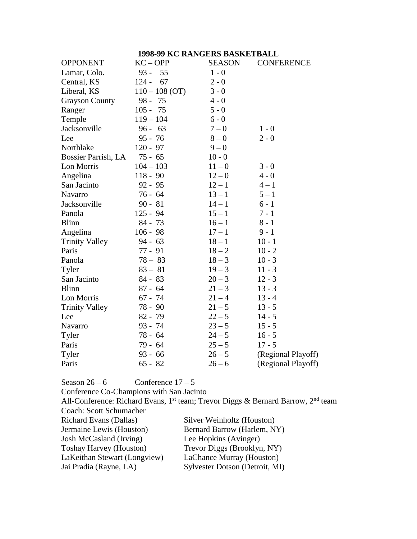|                       | 1998-99 KC RANGERS BASKETBALL |               |                    |
|-----------------------|-------------------------------|---------------|--------------------|
| <b>OPPONENT</b>       | $KC - OPP$                    | <b>SEASON</b> | <b>CONFERENCE</b>  |
| Lamar, Colo.          | $93 -$<br>55                  | $1 - 0$       |                    |
| Central, KS           | $124 -$<br>67                 | $2 - 0$       |                    |
| Liberal, KS           | $110 - 108$ (OT)              | $3 - 0$       |                    |
| <b>Grayson County</b> | $98 -$<br>75                  | $4 - 0$       |                    |
| Ranger                | $105 - 75$                    | $5 - 0$       |                    |
| Temple                | $119 - 104$                   | $6 - 0$       |                    |
| Jacksonville          | $96 - 63$                     | $7 - 0$       | $1 - 0$            |
| Lee                   | $95 - 76$                     | $8-0$         | $2 - 0$            |
| Northlake             | $120 - 97$                    | $9 - 0$       |                    |
| Bossier Parrish, LA   | $75 - 65$                     | $10 - 0$      |                    |
| Lon Morris            | $104 - 103$                   | $11 - 0$      | $3 - 0$            |
| Angelina              | $118 - 90$                    | $12 - 0$      | $4 - 0$            |
| San Jacinto           | $92 - 95$                     | $12 - 1$      | $4 - 1$            |
| Navarro               | $76 - 64$                     | $13 - 1$      | $5 - 1$            |
| Jacksonville          | $90 - 81$                     | $14 - 1$      | $6 - 1$            |
| Panola                | $125 - 94$                    | $15 - 1$      | $7 - 1$            |
| <b>Blinn</b>          | $84 - 73$                     | $16 - 1$      | $8 - 1$            |
| Angelina              | $106 - 98$                    | $17 - 1$      | $9 - 1$            |
| <b>Trinity Valley</b> | $94 - 63$                     | $18 - 1$      | $10 - 1$           |
| Paris                 | $77 - 91$                     | $18 - 2$      | $10 - 2$           |
| Panola                | $78 - 83$                     | $18 - 3$      | $10 - 3$           |
| Tyler                 | $83 - 81$                     | $19 - 3$      | $11 - 3$           |
| San Jacinto           | $84 - 83$                     | $20 - 3$      | $12 - 3$           |
| <b>Blinn</b>          | $87 - 64$                     | $21 - 3$      | $13 - 3$           |
| Lon Morris            | $67 - 74$                     | $21 - 4$      | $13 - 4$           |
| <b>Trinity Valley</b> | 78 - 90                       | $21 - 5$      | $13 - 5$           |
| Lee                   | $82 - 79$                     | $22 - 5$      | $14 - 5$           |
| Navarro               | 93 - 74                       | $23 - 5$      | $15 - 5$           |
| Tyler                 | 78 - 64                       | $24 - 5$      | $16 - 5$           |
| Paris                 | 79 - 64                       | $25 - 5$      | $17 - 5$           |
| Tyler                 | $93 - 66$                     | $26 - 5$      | (Regional Playoff) |
| Paris                 | $65 - 82$                     | $26 - 6$      | (Regional Playoff) |

# Season  $26 - 6$  Conference  $17 - 5$

Conference Co-Champions with San Jacinto

All-Conference: Richard Evans, 1<sup>st</sup> team; Trevor Diggs & Bernard Barrow, 2<sup>nd</sup> team Coach: Scott Schumacher

| <b>Richard Evans (Dallas)</b>  | Silver Weinholtz (Houston)     |
|--------------------------------|--------------------------------|
| Jermaine Lewis (Houston)       | Bernard Barrow (Harlem, NY)    |
| Josh McCasland (Irving)        | Lee Hopkins (Avinger)          |
| <b>Toshay Harvey (Houston)</b> | Trevor Diggs (Brooklyn, NY)    |
| LaKeithan Stewart (Longview)   | LaChance Murray (Houston)      |
| Jai Pradia (Rayne, LA)         | Sylvester Dotson (Detroit, MI) |